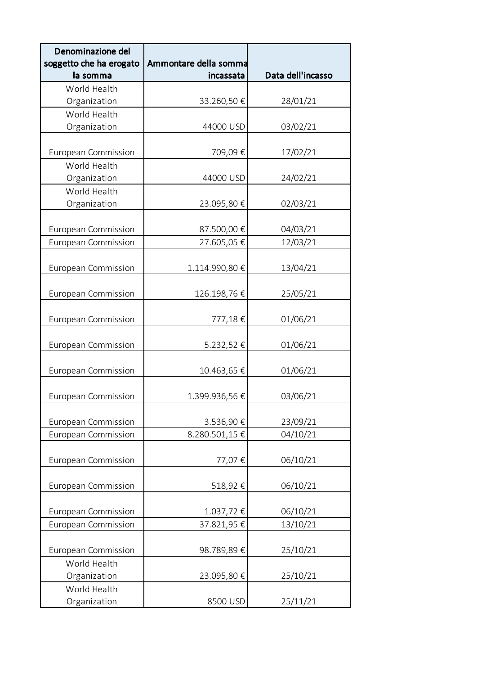| Denominazione del<br>soggetto che ha erogato | Ammontare della somma |                   |
|----------------------------------------------|-----------------------|-------------------|
| la somma                                     | incassata             | Data dell'incasso |
| World Health                                 |                       |                   |
| Organization                                 | 33.260,50€            | 28/01/21          |
| World Health                                 |                       |                   |
| Organization                                 | 44000 USD             | 03/02/21          |
|                                              |                       |                   |
| <b>European Commission</b>                   | 709,09€               | 17/02/21          |
| World Health                                 |                       |                   |
| Organization                                 | 44000 USD             | 24/02/21          |
| World Health                                 |                       |                   |
| Organization                                 | 23.095,80€            | 02/03/21          |
|                                              |                       |                   |
| <b>European Commission</b>                   | 87.500,00€            | 04/03/21          |
| European Commission                          | 27.605,05€            | 12/03/21          |
|                                              |                       |                   |
| European Commission                          | 1.114.990,80€         | 13/04/21          |
|                                              | 126.198,76€           |                   |
| European Commission                          |                       | 25/05/21          |
| European Commission                          | 777,18€               | 01/06/21          |
|                                              |                       |                   |
| European Commission                          | 5.232,52€             | 01/06/21          |
|                                              |                       |                   |
| European Commission                          | 10.463,65€            | 01/06/21          |
|                                              |                       |                   |
| <b>European Commission</b>                   | 1.399.936,56€         | 03/06/21          |
|                                              |                       |                   |
| European Commission                          | 3.536,90€             | 23/09/21          |
| <b>European Commission</b>                   | 8.280.501,15€         | 04/10/21          |
|                                              |                       |                   |
| European Commission                          | 77,07€                | 06/10/21          |
|                                              |                       |                   |
| <b>European Commission</b>                   | 518,92€               | 06/10/21          |
|                                              |                       |                   |
| European Commission                          | 1.037,72€             | 06/10/21          |
| <b>European Commission</b>                   | 37.821,95€            | 13/10/21          |
|                                              |                       |                   |
| European Commission                          | 98.789,89€            | 25/10/21          |
| World Health                                 |                       |                   |
| Organization<br>World Health                 | 23.095,80€            | 25/10/21          |
| Organization                                 | 8500 USD              | 25/11/21          |
|                                              |                       |                   |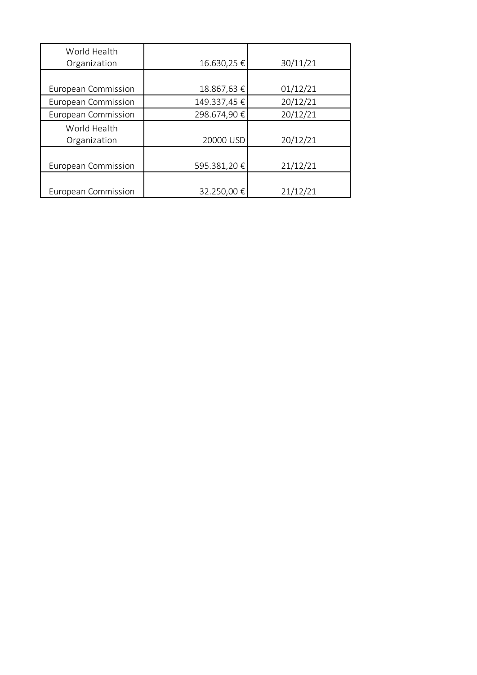| World Health               |             |          |
|----------------------------|-------------|----------|
| Organization               | 16.630,25€  | 30/11/21 |
|                            |             |          |
| <b>European Commission</b> | 18.867,63€  | 01/12/21 |
| <b>European Commission</b> | 149.337,45€ | 20/12/21 |
| <b>European Commission</b> | 298.674,90€ | 20/12/21 |
| World Health               |             |          |
| Organization               | 20000 USD   | 20/12/21 |
|                            |             |          |
| <b>European Commission</b> | 595.381,20€ | 21/12/21 |
|                            |             |          |
| <b>European Commission</b> | 32.250,00€  | 21/12/21 |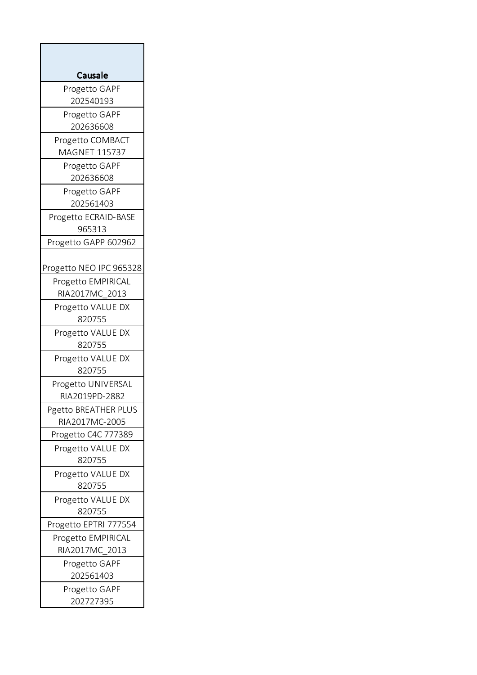| <b>Causale</b>              |
|-----------------------------|
| Progetto GAPF               |
| 202540193                   |
| Progetto GAPF               |
| 202636608                   |
| Progetto COMBACT            |
| MAGNET 115737               |
| Progetto GAPF<br>202636608  |
|                             |
| Progetto GAPF<br>202561403  |
| Progetto ECRAID-BASE        |
| 965313                      |
| Progetto GAPP 602962        |
|                             |
| Progetto NEO IPC 965328     |
| Progetto EMPIRICAL          |
| RIA2017MC_2013              |
| Progetto VALUE DX           |
| 820755                      |
| Progetto VALUE DX           |
| 820755                      |
| Progetto VALUE DX           |
| 820755                      |
| Progetto UNIVERSAL          |
| RIA2019PD-2882              |
| Pgetto BREATHER PLUS        |
| RIA2017MC-2005              |
| Progetto C4C 777389         |
| Progetto VALUE DX<br>820755 |
| Progetto VALUE DX           |
| 820755                      |
| Progetto VALUE DX           |
| 820755                      |
| Progetto EPTRI 777554       |
| Progetto EMPIRICAL          |
| RIA2017MC 2013              |
| Progetto GAPF               |
| 202561403                   |
| Progetto GAPF               |
| 202727395                   |